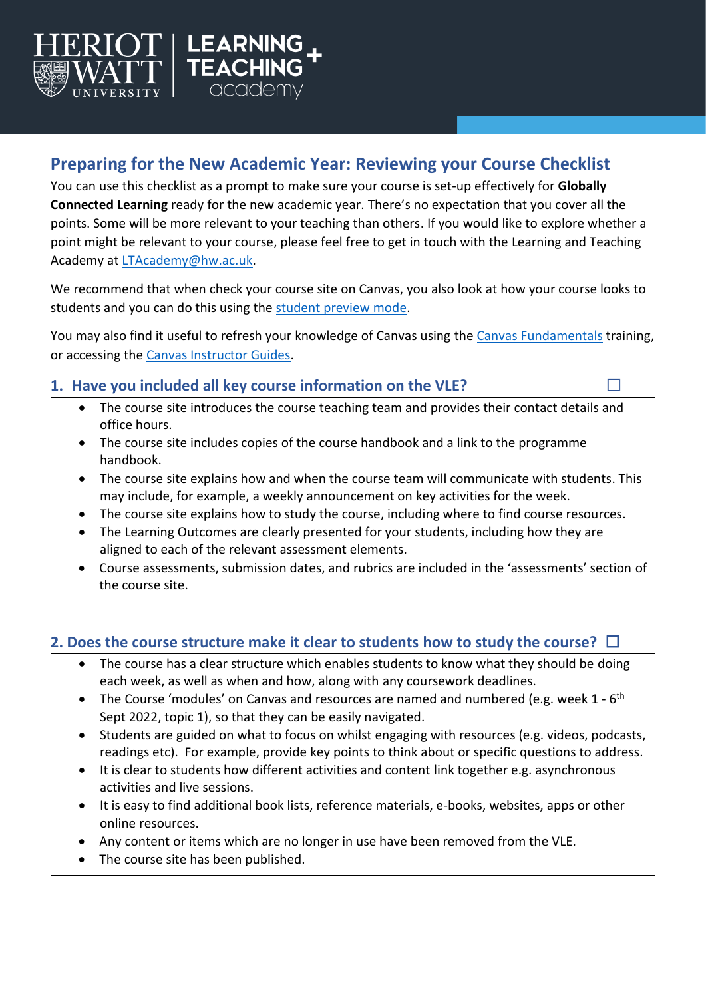

# **Preparing for the New Academic Year: Reviewing your Course Checklist**

You can use this checklist as a prompt to make sure your course is set-up effectively for **Globally Connected Learning** ready for the new academic year. There's no expectation that you cover all the points. Some will be more relevant to your teaching than others. If you would like to explore whether a point might be relevant to your course, please feel free to get in touch with the Learning and Teaching Academy at [LTAcademy@hw.ac.uk.](mailto:LTAcademy@hw.ac.uk)

We recommend that when check your course site on Canvas, you also look at how your course looks to students and you can do this using the [student preview mode.](https://community.canvaslms.com/t5/Instructor-Guide/How-do-I-view-a-course-as-a-test-student-using-Student-View/ta-p/1122)

You may also find it useful to refresh your knowledge of Canvas using the [Canvas Fundamentals](https://canvas.hw.ac.uk/courses/404) training, or accessing the [Canvas Instructor Guides.](https://community.canvaslms.com/t5/Instructor-Guide/tkb-p/Instructor)

### **1.** Have you included all key course information on the VLE? □

- The course site introduces the course teaching team and provides their contact details and office hours.
- The course site includes copies of the course handbook and a link to the programme handbook.
- The course site explains how and when the course team will communicate with students. This may include, for example, a weekly announcement on key activities for the week.
- The course site explains how to study the course, including where to find course resources.
- The Learning Outcomes are clearly presented for your students, including how they are aligned to each of the relevant assessment elements.
- Course assessments, submission dates, and rubrics are included in the 'assessments' section of the course site.

### **2. Does the course structure make it clear to students how to study the course?** ☐

- The course has a clear structure which enables students to know what they should be doing each week, as well as when and how, along with any coursework deadlines.
- The Course 'modules' on Canvas and resources are named and numbered (e.g. week 1 6<sup>th</sup> Sept 2022, topic 1), so that they can be easily navigated.
- Students are guided on what to focus on whilst engaging with resources (e.g. videos, podcasts, readings etc). For example, provide key points to think about or specific questions to address.
- It is clear to students how different activities and content link together e.g. asynchronous activities and live sessions.
- It is easy to find additional book lists, reference materials, e-books, websites, apps or other online resources.
- Any content or items which are no longer in use have been removed from the VLE.
- The course site has been published.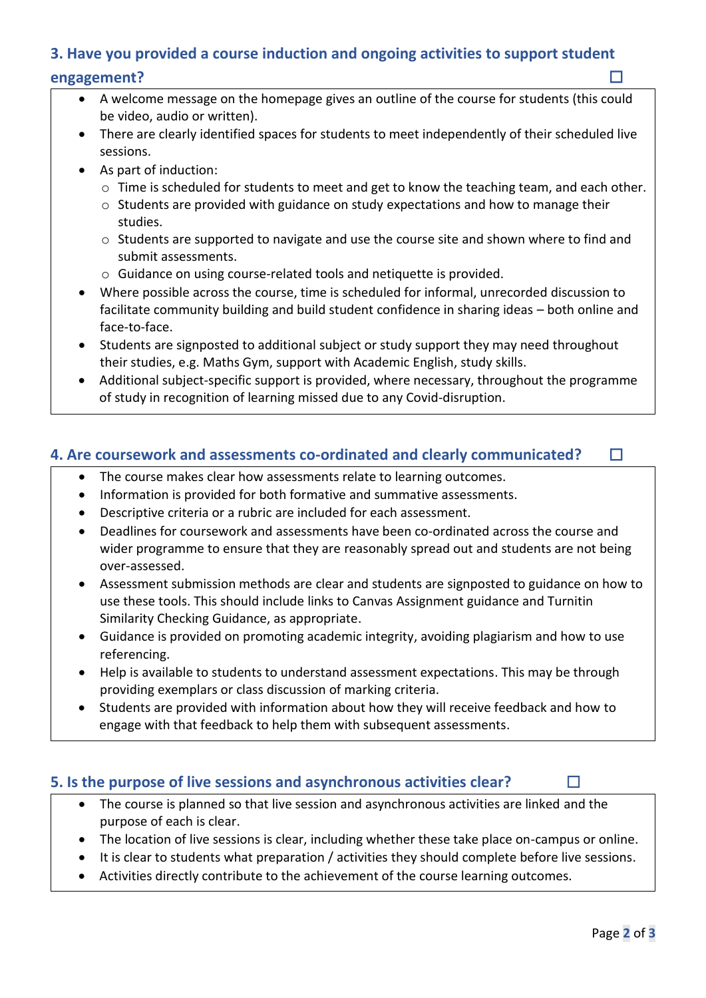### **3. Have you provided a course induction and ongoing activities to support student**

#### **engagement?** ☐

- A welcome message on the homepage gives an outline of the course for students (this could be video, audio or written).
- There are clearly identified spaces for students to meet independently of their scheduled live sessions.
- As part of induction:
	- o Time is scheduled for students to meet and get to know the teaching team, and each other.
	- o Students are provided with guidance on study expectations and how to manage their studies.
	- o Students are supported to navigate and use the course site and shown where to find and submit assessments.
	- o Guidance on using course-related tools and netiquette is provided.
- Where possible across the course, time is scheduled for informal, unrecorded discussion to facilitate community building and build student confidence in sharing ideas – both online and face-to-face.
- Students are signposted to additional subject or study support they may need throughout their studies, e.g. Maths Gym, support with Academic English, study skills.
- Additional subject-specific support is provided, where necessary, throughout the programme of study in recognition of learning missed due to any Covid-disruption.

### **4. Are coursework and assessments co-ordinated and clearly communicated? □**

- The course makes clear how assessments relate to learning outcomes.
- Information is provided for both formative and summative assessments.
- Descriptive criteria or a rubric are included for each assessment.
- Deadlines for coursework and assessments have been co-ordinated across the course and wider programme to ensure that they are reasonably spread out and students are not being over-assessed.
- Assessment submission methods are clear and students are signposted to guidance on how to use these tools. This should include links to Canvas Assignment guidance and Turnitin Similarity Checking Guidance, as appropriate.
- Guidance is provided on promoting academic integrity, avoiding plagiarism and how to use referencing.
- Help is available to students to understand assessment expectations. This may be through providing exemplars or class discussion of marking criteria.
- Students are provided with information about how they will receive feedback and how to engage with that feedback to help them with subsequent assessments.

### **5. Is the purpose of live sessions and asynchronous activities clear?** □

- The course is planned so that live session and asynchronous activities are linked and the purpose of each is clear.
- The location of live sessions is clear, including whether these take place on-campus or online.
- It is clear to students what preparation / activities they should complete before live sessions.
- Activities directly contribute to the achievement of the course learning outcomes.